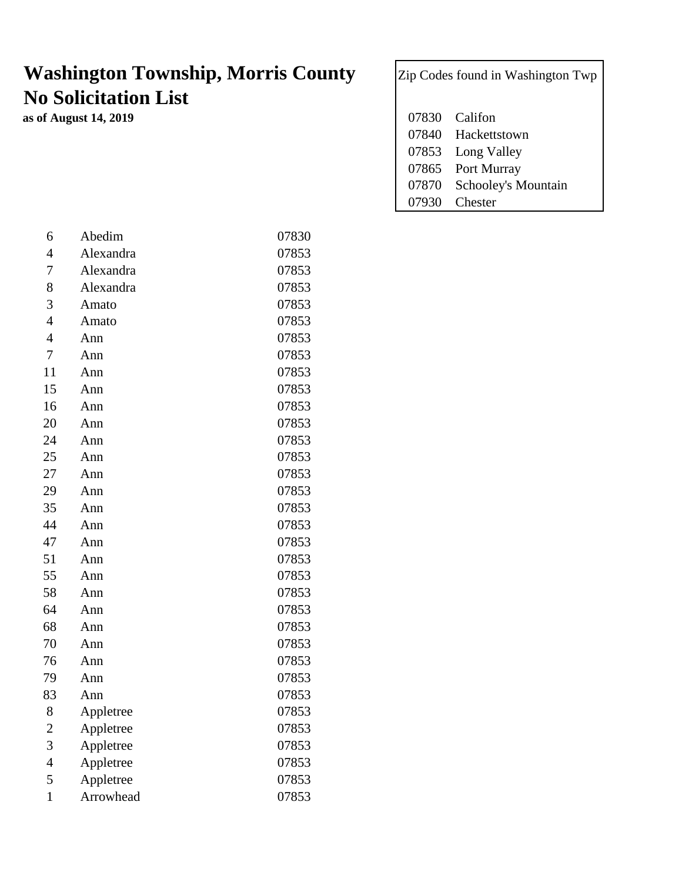## **Washington Township, Morris County** Zip Codes found in Washington Twp **No Solicitation List**

**as of August 14, 2019** 

| 07830 Califon             |
|---------------------------|
| 07840 Hackettstown        |
| 07853 Long Valley         |
| 07865 Port Murray         |
| 07870 Schooley's Mountain |
| 07930 Chester             |

| 6              | Abedim    | 07830 |
|----------------|-----------|-------|
| 4              | Alexandra | 07853 |
| 7              | Alexandra | 07853 |
| 8              | Alexandra | 07853 |
| 3              | Amato     | 07853 |
| $\overline{4}$ | Amato     | 07853 |
| $\overline{4}$ | Ann       | 07853 |
| $\overline{7}$ | Ann       | 07853 |
| 11             | Ann       | 07853 |
| 15             | Ann       | 07853 |
| 16             | Ann       | 07853 |
| 20             | Ann       | 07853 |
| 24             | Ann       | 07853 |
| 25             | Ann       | 07853 |
| 27             | Ann       | 07853 |
| 29             | Ann       | 07853 |
| 35             | Ann       | 07853 |
| 44             | Ann       | 07853 |
| 47             | Ann       | 07853 |
| 51             | Ann       | 07853 |
| 55             | Ann       | 07853 |
| 58             | Ann       | 07853 |
| 64             | Ann       | 07853 |
| 68             | Ann       | 07853 |
| 70             | Ann       | 07853 |
| 76             | Ann       | 07853 |
| 79             | Ann       | 07853 |
| 83             | Ann       | 07853 |
| 8              | Appletree | 07853 |
| $\overline{c}$ | Appletree | 07853 |
| 3              | Appletree | 07853 |
| $\overline{4}$ | Appletree | 07853 |
| 5              | Appletree | 07853 |
| $\mathbf{1}$   | Arrowhead | 07853 |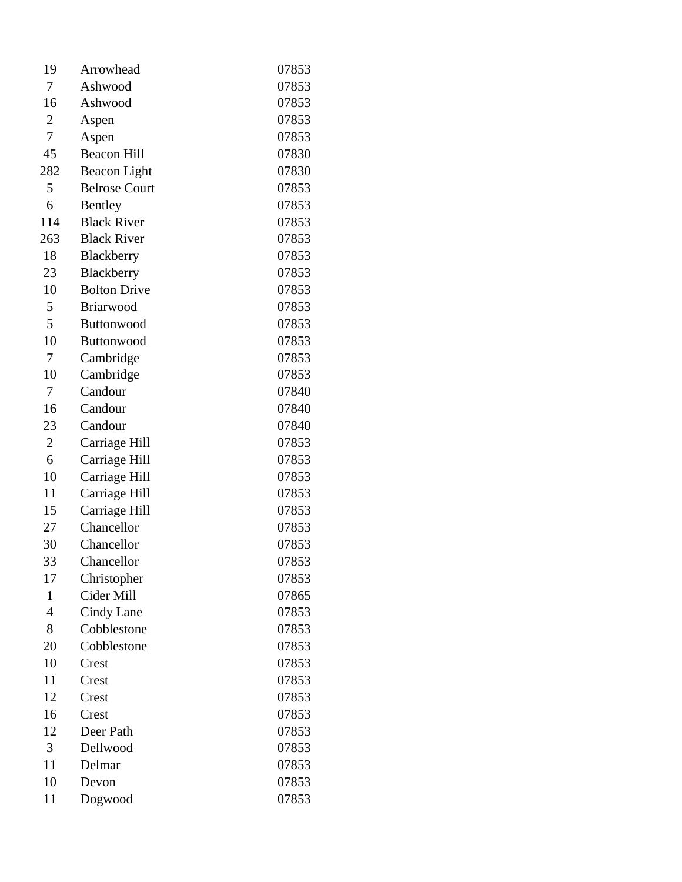| 19             | Arrowhead            | 07853 |
|----------------|----------------------|-------|
| 7              | Ashwood              | 07853 |
| 16             | Ashwood              | 07853 |
| $\overline{c}$ | Aspen                | 07853 |
| 7              | Aspen                | 07853 |
| 45             | <b>Beacon Hill</b>   | 07830 |
| 282            | Beacon Light         | 07830 |
| 5              | <b>Belrose Court</b> | 07853 |
| 6              | Bentley              | 07853 |
| 114            | <b>Black River</b>   | 07853 |
| 263            | <b>Black River</b>   | 07853 |
| 18             | Blackberry           | 07853 |
| 23             | Blackberry           | 07853 |
| 10             | <b>Bolton Drive</b>  | 07853 |
| 5              | <b>Briarwood</b>     | 07853 |
| 5              | <b>Buttonwood</b>    | 07853 |
| 10             | <b>Buttonwood</b>    | 07853 |
| 7              | Cambridge            | 07853 |
| 10             | Cambridge            | 07853 |
| 7              | Candour              | 07840 |
| 16             | Candour              | 07840 |
| 23             | Candour              | 07840 |
| $\overline{2}$ | Carriage Hill        | 07853 |
| 6              | Carriage Hill        | 07853 |
| 10             | Carriage Hill        | 07853 |
| 11             | Carriage Hill        | 07853 |
| 15             | Carriage Hill        | 07853 |
| 27             | Chancellor           | 07853 |
| 30             | Chancellor           | 07853 |
| 33             | Chancellor           | 07853 |
| 17             | Christopher          | 07853 |
| $\mathbf{1}$   | Cider Mill           | 07865 |
| 4              | Cindy Lane           | 07853 |
| 8              | Cobblestone          | 07853 |
| 20             | Cobblestone          | 07853 |
| 10             | Crest                | 07853 |
| 11             | Crest                | 07853 |
| 12             | Crest                | 07853 |
| 16             | Crest                | 07853 |
| 12             | Deer Path            | 07853 |
| 3              | Dellwood             | 07853 |
| 11             | Delmar               | 07853 |
| 10             | Devon                | 07853 |
| 11             | Dogwood              | 07853 |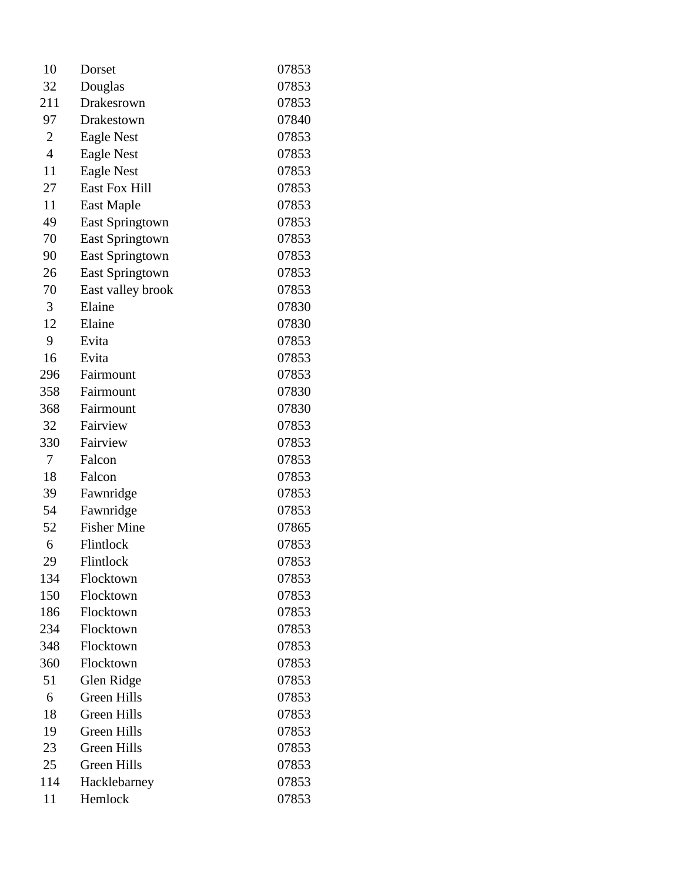| 10             | Dorset                 | 07853 |
|----------------|------------------------|-------|
| 32             | Douglas                | 07853 |
| 211            | Drakesrown             | 07853 |
| 97             | Drakestown             | 07840 |
| $\overline{2}$ | <b>Eagle Nest</b>      | 07853 |
| $\overline{4}$ | Eagle Nest             | 07853 |
| 11             | <b>Eagle Nest</b>      | 07853 |
| 27             | East Fox Hill          | 07853 |
| 11             | East Maple             | 07853 |
| 49             | <b>East Springtown</b> | 07853 |
| 70             | <b>East Springtown</b> | 07853 |
| 90             | <b>East Springtown</b> | 07853 |
| 26             | <b>East Springtown</b> | 07853 |
| 70             | East valley brook      | 07853 |
| 3              | Elaine                 | 07830 |
| 12             | Elaine                 | 07830 |
| 9              | Evita                  | 07853 |
| 16             | Evita                  | 07853 |
| 296            | Fairmount              | 07853 |
| 358            | Fairmount              | 07830 |
| 368            | Fairmount              | 07830 |
| 32             | Fairview               | 07853 |
| 330            | Fairview               | 07853 |
| 7              | Falcon                 | 07853 |
| 18             | Falcon                 | 07853 |
| 39             | Fawnridge              | 07853 |
| 54             | Fawnridge              | 07853 |
| 52             | <b>Fisher Mine</b>     | 07865 |
| 6              | Flintlock              | 07853 |
| 29             | Flintlock              | 07853 |
| 134            | Flocktown              | 07853 |
| 150            | Flocktown              | 07853 |
| 186            | Flocktown              | 07853 |
| 234            | Flocktown              | 07853 |
| 348            | Flocktown              | 07853 |
| 360            | Flocktown              | 07853 |
| 51             | Glen Ridge             | 07853 |
| 6              | Green Hills            | 07853 |
| 18             | <b>Green Hills</b>     | 07853 |
| 19             | Green Hills            | 07853 |
| 23             | <b>Green Hills</b>     | 07853 |
| 25             | <b>Green Hills</b>     | 07853 |
| 114            | Hacklebarney           | 07853 |
| 11             | Hemlock                | 07853 |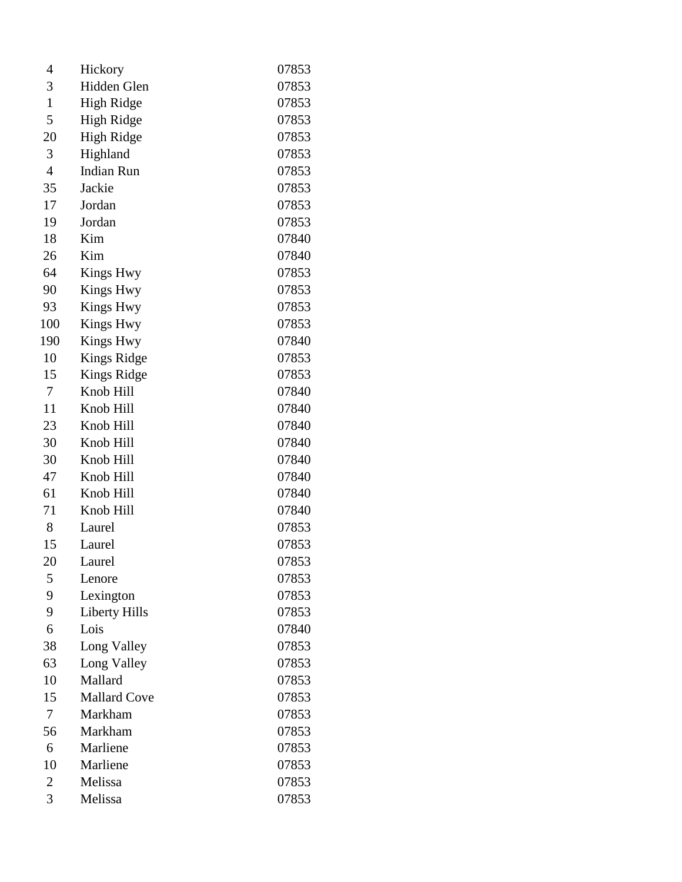| 4              | Hickory              | 07853 |
|----------------|----------------------|-------|
| 3              | Hidden Glen          | 07853 |
| $\mathbf{1}$   | <b>High Ridge</b>    | 07853 |
| 5              | High Ridge           | 07853 |
| 20             | High Ridge           | 07853 |
| 3              | Highland             | 07853 |
| 4              | <b>Indian Run</b>    | 07853 |
| 35             | Jackie               | 07853 |
| 17             | Jordan               | 07853 |
| 19             | Jordan               | 07853 |
| 18             | Kim                  | 07840 |
| 26             | Kim                  | 07840 |
| 64             | <b>Kings Hwy</b>     | 07853 |
| 90             | <b>Kings Hwy</b>     | 07853 |
| 93             | <b>Kings Hwy</b>     | 07853 |
| 100            | <b>Kings Hwy</b>     | 07853 |
| 190            | <b>Kings Hwy</b>     | 07840 |
| 10             | <b>Kings Ridge</b>   | 07853 |
| 15             | Kings Ridge          | 07853 |
| 7              | Knob Hill            | 07840 |
| 11             | Knob Hill            | 07840 |
| 23             | Knob Hill            | 07840 |
| 30             | Knob Hill            | 07840 |
| 30             | Knob Hill            | 07840 |
| 47             | Knob Hill            | 07840 |
| 61             | Knob Hill            | 07840 |
| 71             | Knob Hill            | 07840 |
| 8              | Laurel               | 07853 |
| 15             | Laurel               | 07853 |
| 20             | Laurel               | 07853 |
| 5              | Lenore               | 07853 |
| 9              | Lexington            | 07853 |
| 9              | <b>Liberty Hills</b> | 07853 |
| 6              | Lois                 | 07840 |
| 38             | Long Valley          | 07853 |
| 63             | Long Valley          | 07853 |
| 10             | Mallard              | 07853 |
| 15             | <b>Mallard Cove</b>  | 07853 |
| 7              | Markham              | 07853 |
| 56             | Markham              | 07853 |
| 6              | Marliene             | 07853 |
| 10             | Marliene             | 07853 |
| $\overline{2}$ | Melissa              | 07853 |
| 3              | Melissa              | 07853 |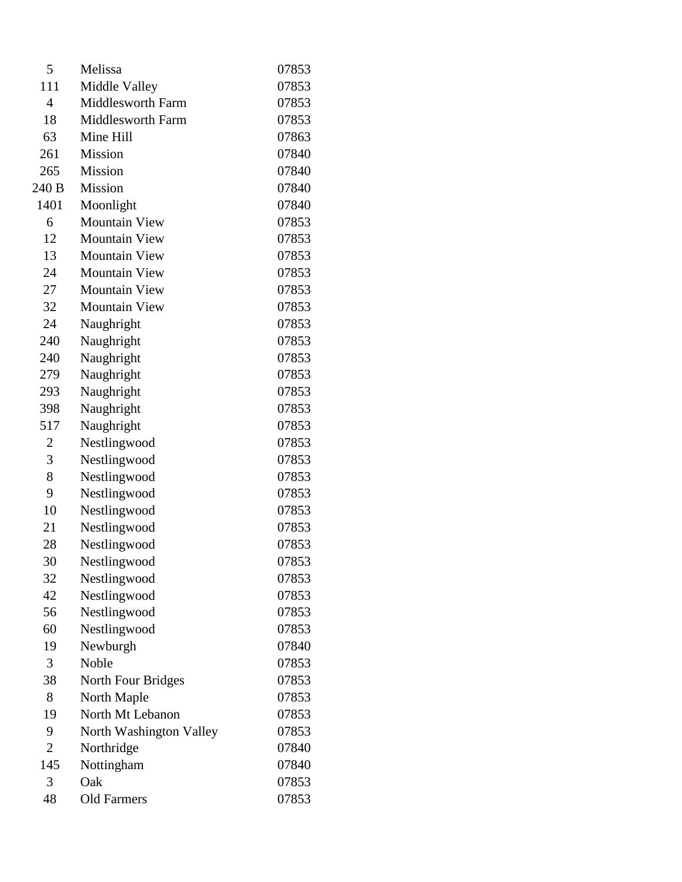| 5              | Melissa                   | 07853 |
|----------------|---------------------------|-------|
| 111            | Middle Valley             | 07853 |
| $\overline{4}$ | <b>Middlesworth Farm</b>  | 07853 |
| 18             | <b>Middlesworth Farm</b>  | 07853 |
| 63             | Mine Hill                 | 07863 |
| 261            | <b>Mission</b>            | 07840 |
| 265            | <b>Mission</b>            | 07840 |
| 240 B          | <b>Mission</b>            | 07840 |
| 1401           | Moonlight                 | 07840 |
| 6              | <b>Mountain View</b>      | 07853 |
| 12             | <b>Mountain View</b>      | 07853 |
| 13             | <b>Mountain View</b>      | 07853 |
| 24             | <b>Mountain View</b>      | 07853 |
| 27             | <b>Mountain View</b>      | 07853 |
| 32             | <b>Mountain View</b>      | 07853 |
| 24             | Naughright                | 07853 |
| 240            | Naughright                | 07853 |
| 240            | Naughright                | 07853 |
| 279            | Naughright                | 07853 |
| 293            | Naughright                | 07853 |
| 398            | Naughright                | 07853 |
| 517            | Naughright                | 07853 |
| 2              | Nestlingwood              | 07853 |
| 3              | Nestlingwood              | 07853 |
| 8              | Nestlingwood              | 07853 |
| 9              | Nestlingwood              | 07853 |
| 10             | Nestlingwood              | 07853 |
| 21             | Nestlingwood              | 07853 |
| 28             | Nestlingwood              | 07853 |
| 30             | Nestlingwood              | 07853 |
| 32             | Nestlingwood              | 07853 |
| 42             | Nestlingwood              | 07853 |
| 56             | Nestlingwood              | 07853 |
| 60             | Nestlingwood              | 07853 |
| 19             | Newburgh                  | 07840 |
| 3              | Noble                     | 07853 |
| 38             | <b>North Four Bridges</b> | 07853 |
| 8              | North Maple               | 07853 |
| 19             | North Mt Lebanon          | 07853 |
| 9              | North Washington Valley   | 07853 |
| $\overline{2}$ | Northridge                | 07840 |
| 145            | Nottingham                | 07840 |
| 3              | Oak                       | 07853 |
| 48             | <b>Old Farmers</b>        | 07853 |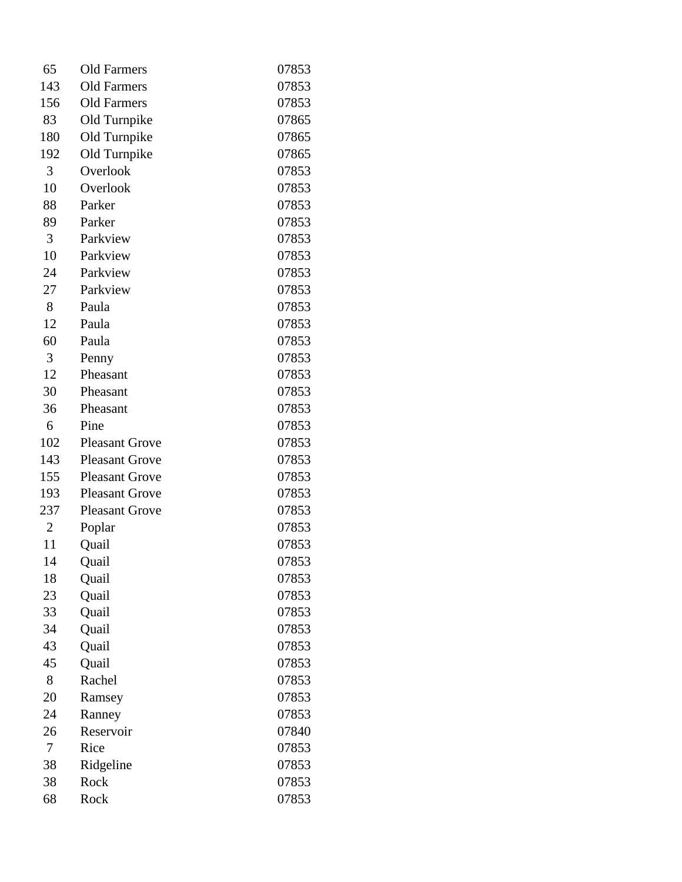| 65             | <b>Old Farmers</b>    | 07853 |
|----------------|-----------------------|-------|
| 143            | <b>Old Farmers</b>    | 07853 |
| 156            | <b>Old Farmers</b>    | 07853 |
| 83             | Old Turnpike          | 07865 |
| 180            | Old Turnpike          | 07865 |
| 192            | Old Turnpike          | 07865 |
| 3              | Overlook              | 07853 |
| 10             | Overlook              | 07853 |
| 88             | Parker                | 07853 |
| 89             | Parker                | 07853 |
| 3              | Parkview              | 07853 |
| 10             | Parkview              | 07853 |
| 24             | Parkview              | 07853 |
| 27             | Parkview              | 07853 |
| 8              | Paula                 | 07853 |
| 12             | Paula                 | 07853 |
| 60             | Paula                 | 07853 |
| 3              | Penny                 | 07853 |
| 12             | Pheasant              | 07853 |
| 30             | Pheasant              | 07853 |
| 36             | Pheasant              | 07853 |
| 6              | Pine                  | 07853 |
| 102            | <b>Pleasant Grove</b> | 07853 |
| 143            | <b>Pleasant Grove</b> | 07853 |
| 155            | <b>Pleasant Grove</b> | 07853 |
| 193            | <b>Pleasant Grove</b> | 07853 |
| 237            | <b>Pleasant Grove</b> | 07853 |
| $\overline{2}$ | Poplar                | 07853 |
| 11             | Quail                 | 07853 |
| 14             | Quail                 | 07853 |
| 18             | Quail                 | 07853 |
| 23             | Quail                 | 07853 |
| 33             | Quail                 | 07853 |
| 34             | Quail                 | 07853 |
| 43             | Quail                 | 07853 |
| 45             | Quail                 | 07853 |
| 8              | Rachel                | 07853 |
| 20             | Ramsey                | 07853 |
| 24             | Ranney                | 07853 |
| 26             | Reservoir             | 07840 |
| 7              | Rice                  | 07853 |
| 38             | Ridgeline             | 07853 |
| 38             | Rock                  | 07853 |
| 68             | Rock                  | 07853 |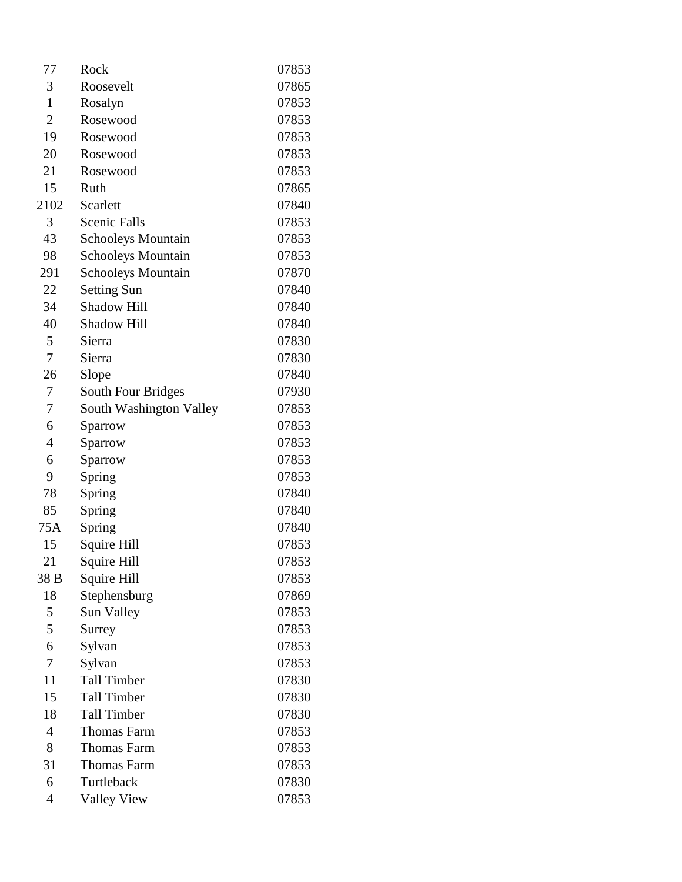| 77             | Rock                      | 07853 |
|----------------|---------------------------|-------|
| 3              | Roosevelt                 | 07865 |
| $\mathbf{1}$   | Rosalyn                   | 07853 |
| $\overline{2}$ | Rosewood                  | 07853 |
| 19             | Rosewood                  | 07853 |
| 20             | Rosewood                  | 07853 |
| 21             | Rosewood                  | 07853 |
| 15             | Ruth                      | 07865 |
| 2102           | Scarlett                  | 07840 |
| 3              | <b>Scenic Falls</b>       | 07853 |
| 43             | <b>Schooleys Mountain</b> | 07853 |
| 98             | <b>Schooleys Mountain</b> | 07853 |
| 291            | <b>Schooleys Mountain</b> | 07870 |
| 22             | <b>Setting Sun</b>        | 07840 |
| 34             | <b>Shadow Hill</b>        | 07840 |
| 40             | Shadow Hill               | 07840 |
| 5              | Sierra                    | 07830 |
| 7              | Sierra                    | 07830 |
| 26             | Slope                     | 07840 |
| 7              | South Four Bridges        | 07930 |
| 7              | South Washington Valley   | 07853 |
| 6              | Sparrow                   | 07853 |
| $\overline{4}$ | Sparrow                   | 07853 |
| 6              | Sparrow                   | 07853 |
| 9              | Spring                    | 07853 |
| 78             | Spring                    | 07840 |
| 85             | Spring                    | 07840 |
| 75A            | Spring                    | 07840 |
| 15             | Squire Hill               | 07853 |
| 21             | Squire Hill               | 07853 |
| 38 B           | Squire Hill               | 07853 |
| 18             | Stephensburg              | 07869 |
| 5              | Sun Valley                | 07853 |
| 5              | Surrey                    | 07853 |
| 6              | Sylvan                    | 07853 |
| 7              | Sylvan                    | 07853 |
| 11             | <b>Tall Timber</b>        | 07830 |
| 15             | <b>Tall Timber</b>        | 07830 |
| 18             | <b>Tall Timber</b>        | 07830 |
| 4              | <b>Thomas Farm</b>        | 07853 |
| 8              | <b>Thomas Farm</b>        | 07853 |
| 31             | <b>Thomas Farm</b>        | 07853 |
| 6              | Turtleback                | 07830 |
| $\overline{4}$ | <b>Valley View</b>        | 07853 |